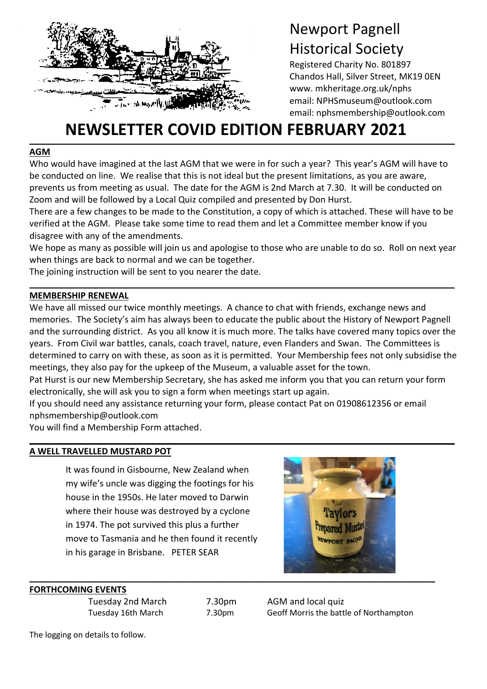

# Newport Pagnell Historical Society

Registered Charity No. 801897 Chandos Hall, Silver Street, MK19 0EN www. mkheritage.org.uk/nphs email: NPHSmuseum@outlook.com email: nphsmembership@outlook.com

# **\_\_\_\_\_\_\_\_\_\_\_\_\_\_\_\_\_\_\_\_\_\_\_\_\_\_\_\_\_\_\_\_\_\_\_\_\_\_\_\_\_\_\_\_\_\_\_\_\_\_\_\_\_\_\_\_\_\_\_\_\_\_\_\_\_\_\_\_\_\_\_\_\_\_\_\_\_\_\_\_\_\_\_\_\_\_\_ NEWSLETTER COVID EDITION FEBRUARY 2021**

### **AGM**

t

Who would have imagined at the last AGM that we were in for such a year? This year's AGM will have to be conducted on line. We realise that this is not ideal but the present limitations, as you are aware, prevents us from meeting as usual. The date for the AGM is 2nd March at 7.30. It will be conducted on Zoom and will be followed by a Local Quiz compiled and presented by Don Hurst.

There are a few changes to be made to the Constitution, a copy of which is attached. These will have to be verified at the AGM. Please take some time to read them and let a Committee member know if you disagree with any of the amendments.

We hope as many as possible will join us and apologise to those who are unable to do so. Roll on next year when things are back to normal and we can be together.

**\_\_\_\_\_\_\_\_\_\_\_\_\_\_\_\_\_\_\_\_\_\_\_\_\_\_\_\_\_\_\_\_\_\_\_\_\_\_\_\_\_\_\_\_\_\_\_\_\_\_\_\_\_\_\_\_\_\_\_\_\_\_\_\_\_\_\_\_\_\_\_\_\_\_\_\_\_\_\_\_\_\_\_\_\_\_\_**

The joining instruction will be sent to you nearer the date.

### **MEMBERSHIP RENEWAL**

We have all missed our twice monthly meetings. A chance to chat with friends, exchange news and memories. The Society's aim has always been to educate the public about the History of Newport Pagnell and the surrounding district. As you all know it is much more. The talks have covered many topics over the years. From Civil war battles, canals, coach travel, nature, even Flanders and Swan. The Committees is determined to carry on with these, as soon as it is permitted. Your Membership fees not only subsidise the meetings, they also pay for the upkeep of the Museum, a valuable asset for the town.

Pat Hurst is our new Membership Secretary, she has asked me inform you that you can return your form electronically, she will ask you to sign a form when meetings start up again.

**\_\_\_\_\_\_\_\_\_\_\_\_\_\_\_\_\_\_\_\_\_\_\_\_\_\_\_\_\_\_\_\_\_\_\_\_\_\_\_\_\_\_\_\_\_\_\_\_\_\_\_\_\_\_\_\_\_\_\_\_\_\_\_\_\_\_\_\_\_\_\_\_\_\_\_\_\_\_\_\_\_\_\_\_\_\_\_**

If you should need any assistance returning your form, please contact Pat on 01908612356 or email nphsmembership@outlook.com

You will find a Membership Form attached.

# **A WELL TRAVELLED MUSTARD POT**

It was found in Gisbourne, New Zealand when my wife's uncle was digging the footings for his house in the 1950s. He later moved to Darwin where their house was destroyed by a cyclone in 1974. The pot survived this plus a further move to Tasmania and he then found it recently in his garage in Brisbane. PETER SEAR



#### **FORTHCOMING EVENTS**

Tuesday 2nd March 7.30pm AGM and local quiz

Tuesday 16th March 7.30pm Geoff Morris the battle of Northampton

The logging on details to follow.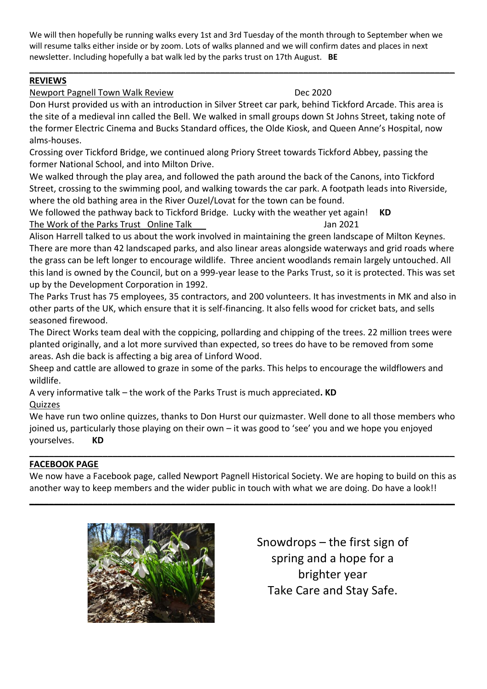We will then hopefully be running walks every 1st and 3rd Tuesday of the month through to September when we will resume talks either inside or by zoom. Lots of walks planned and we will confirm dates and places in next newsletter. Including hopefully a bat walk led by the parks trust on 17th August. **BE**

**\_\_\_\_\_\_\_\_\_\_\_\_\_\_\_\_\_\_\_\_\_\_\_\_\_\_\_\_\_\_\_\_\_\_\_\_\_\_\_\_\_\_\_\_\_\_\_\_\_\_\_\_\_\_\_\_\_\_\_\_\_\_\_\_\_\_\_\_\_\_\_\_\_\_\_\_\_\_\_\_\_\_\_\_\_\_\_**

# **REVIEWS**

# Newport Pagnell Town Walk Review **Dec 2020**

Don Hurst provided us with an introduction in Silver Street car park, behind Tickford Arcade. This area is the site of a medieval inn called the Bell. We walked in small groups down St Johns Street, taking note of the former Electric Cinema and Bucks Standard offices, the Olde Kiosk, and Queen Anne's Hospital, now alms-houses.

Crossing over Tickford Bridge, we continued along Priory Street towards Tickford Abbey, passing the former National School, and into Milton Drive.

We walked through the play area, and followed the path around the back of the Canons, into Tickford Street, crossing to the swimming pool, and walking towards the car park. A footpath leads into Riverside, where the old bathing area in the River Ouzel/Lovat for the town can be found.

We followed the pathway back to Tickford Bridge. Lucky with the weather yet again! **KD** The Work of the Parks Trust Online Talk Jan 2021

Alison Harrell talked to us about the work involved in maintaining the green landscape of Milton Keynes. There are more than 42 landscaped parks, and also linear areas alongside waterways and grid roads where the grass can be left longer to encourage wildlife. Three ancient woodlands remain largely untouched. All this land is owned by the Council, but on a 999-year lease to the Parks Trust, so it is protected. This was set up by the Development Corporation in 1992.

The Parks Trust has 75 employees, 35 contractors, and 200 volunteers. It has investments in MK and also in other parts of the UK, which ensure that it is self-financing. It also fells wood for cricket bats, and sells seasoned firewood.

The Direct Works team deal with the coppicing, pollarding and chipping of the trees. 22 million trees were planted originally, and a lot more survived than expected, so trees do have to be removed from some areas. Ash die back is affecting a big area of Linford Wood.

Sheep and cattle are allowed to graze in some of the parks. This helps to encourage the wildflowers and wildlife.

A very informative talk – the work of the Parks Trust is much appreciated**. KD**

# **Quizzes**

We have run two online quizzes, thanks to Don Hurst our quizmaster. Well done to all those members who joined us, particularly those playing on their own – it was good to 'see' you and we hope you enjoyed yourselves. **KD**

## **\_\_\_\_\_\_\_\_\_\_\_\_\_\_\_\_\_\_\_\_\_\_\_\_\_\_\_\_\_\_\_\_\_\_\_\_\_\_\_\_\_\_\_\_\_\_\_\_\_\_\_\_\_\_\_\_\_\_\_\_\_\_\_\_\_\_\_\_\_\_\_\_\_\_\_\_\_\_\_\_\_\_\_\_\_\_\_ FACEBOOK PAGE**

We now have a Facebook page, called Newport Pagnell Historical Society. We are hoping to build on this as another way to keep members and the wider public in touch with what we are doing. Do have a look!!

**\_\_\_\_\_\_\_\_\_\_\_\_\_\_\_\_\_\_\_\_\_\_\_\_\_\_\_\_\_\_\_\_\_\_\_\_\_\_\_\_\_\_\_\_\_\_\_\_\_\_\_\_\_\_\_\_\_\_\_\_\_\_\_\_\_\_\_\_\_\_\_\_\_\_\_\_\_\_\_\_\_\_\_\_\_\_\_**



Snowdrops – the first sign of spring and a hope for a brighter year Take Care and Stay Safe.